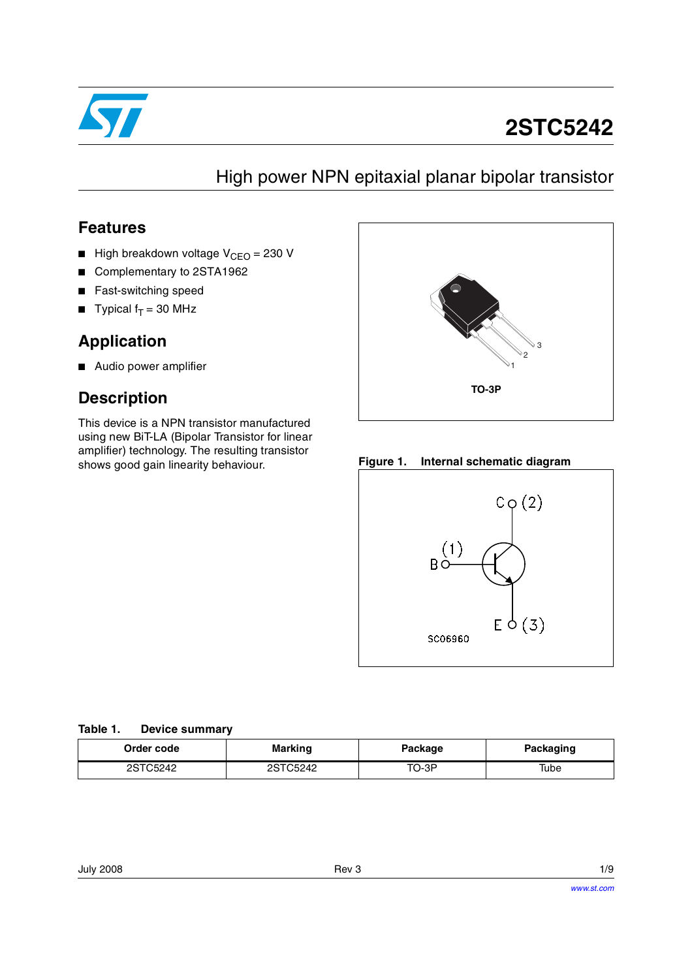

# **2STC5242**

## High power NPN epitaxial planar bipolar transistor

### **Features**

- High breakdown voltage  $V_{CFO} = 230$  V
- Complementary to 2STA1962
- Fast-switching speed
- **Typical f<sub>T</sub>** = 30 MHz

### **Application**

■ Audio power amplifier

### **Description**

This device is a NPN transistor manufactured using new BiT-LA (Bipolar Transistor for linear amplifier) technology. The resulting transistor shows good gain linearity behaviour. **Figure 1. Internal schematic diagram**





#### **Table 1. Device summary**

| Order code | <b>Marking</b> |       | <b>Packaging</b> |  |
|------------|----------------|-------|------------------|--|
| 2STC5242   | 2STC5242       | TO-3P | Tube             |  |

| 1/9 |
|-----|
|     |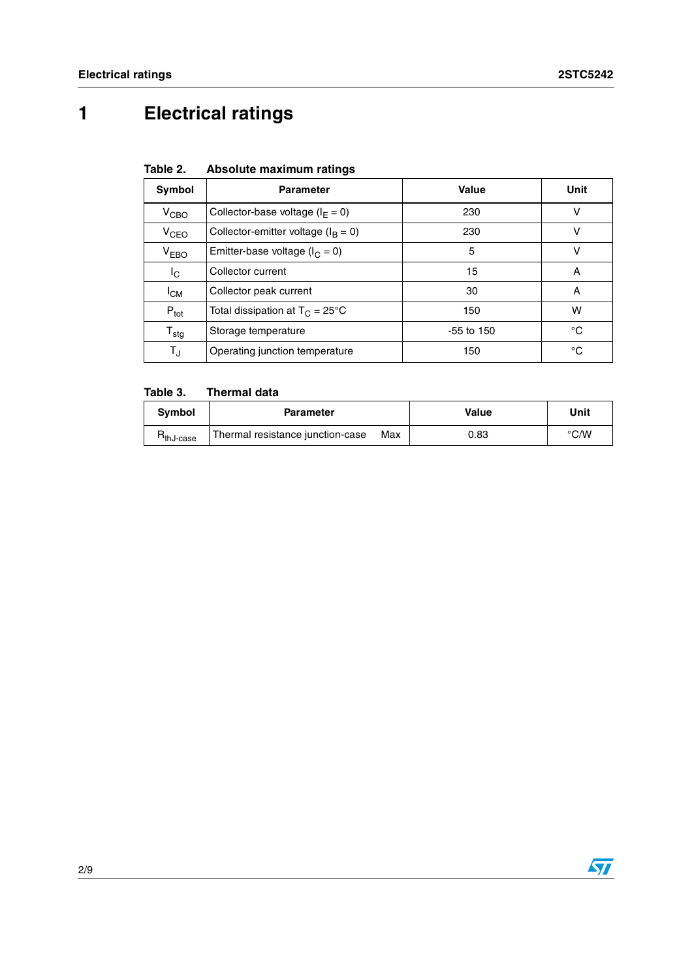## **1 Electrical ratings**

| Table 2. | Absolute maximum ratings |  |
|----------|--------------------------|--|
|          |                          |  |

| Symbol                    | <b>Parameter</b>                         | Value        | Unit |
|---------------------------|------------------------------------------|--------------|------|
| $V_{\text{CBO}}$          | Collector-base voltage ( $I_F = 0$ )     | 230          | v    |
| V <sub>CEO</sub>          | Collector-emitter voltage ( $I_B = 0$ )  | 230          | v    |
| $V_{EBO}$                 | Emitter-base voltage ( $I_C = 0$ )       | 5            | v    |
| $I_{\rm C}$               | Collector current                        | 15           | A    |
| $I_{CM}$                  | Collector peak current                   | 30           | A    |
| $P_{\text{tot}}$          | Total dissipation at $T_C = 25^{\circ}C$ | 150          | w    |
| $\mathsf{T}_{\text{stg}}$ | Storage temperature                      | $-55$ to 150 | °C   |
| TJ                        | Operating junction temperature           | 150          | °C   |

#### **Table 3. Thermal data**

| <b>Symbol</b>                           | <b>Parameter</b>                 |     | Value | Unit               |
|-----------------------------------------|----------------------------------|-----|-------|--------------------|
| $\mathsf{m}_{\mathsf{thJ}\text{-case}}$ | Thermal resistance junction-case | Max | 0.83  | $\rm ^{\circ}$ C/W |

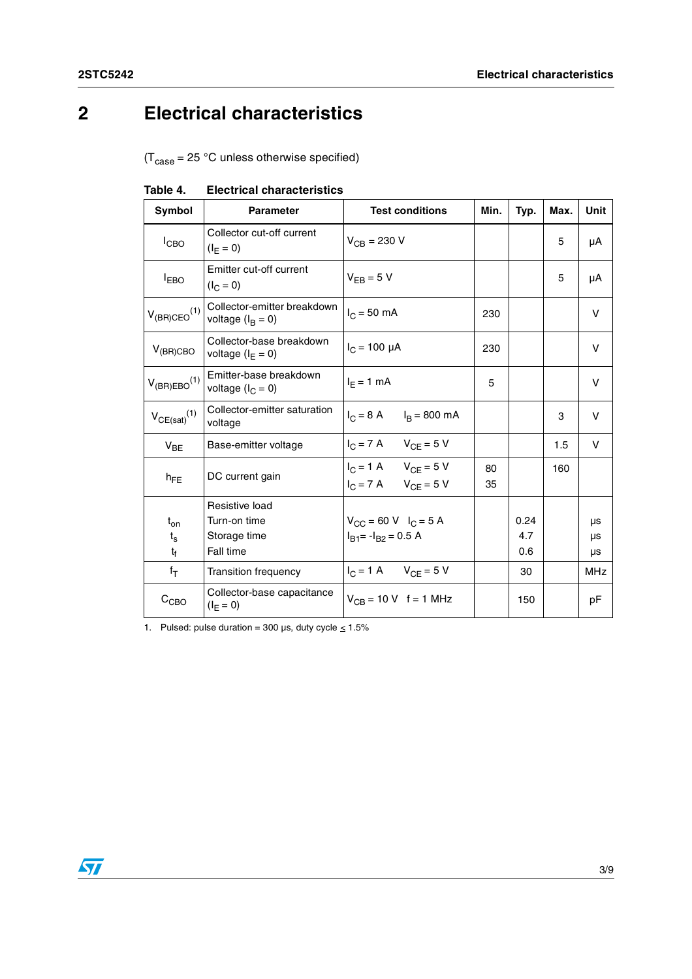## **2 Electrical characteristics**

 $(T_{\text{case}} = 25 \text{ °C}$  unless otherwise specified)

| Symbol                                 | <b>Parameter</b>                                            | <b>Test conditions</b>                                                       | Min.     | Typ.               | Max. | Unit           |
|----------------------------------------|-------------------------------------------------------------|------------------------------------------------------------------------------|----------|--------------------|------|----------------|
| $I_{CBO}$                              | Collector cut-off current<br>$(I_F = 0)$                    | $V_{CB} = 230 V$                                                             |          |                    | 5    | μA             |
| <b>IEBO</b>                            | Emitter cut-off current<br>$(I_C = 0)$                      | $V_{FB} = 5 V$                                                               |          |                    | 5    | μA             |
| $V_{(BR)CEO}$ <sup>(1)</sup>           | Collector-emitter breakdown<br>voltage $(I_B = 0)$          | $I_C = 50$ mA                                                                | 230      |                    |      | v              |
| $V_{(BR)CBO}$                          | Collector-base breakdown<br>voltage $(I_F = 0)$             | $I_C = 100 \mu A$                                                            | 230      |                    |      | V              |
| $V_{(BR)EBO}^{(1)}$                    | Emitter-base breakdown<br>voltage $(l_C = 0)$               | $I_F = 1$ mA                                                                 | 5        |                    |      | V              |
| $V_{CE(sat)}(1)$                       | Collector-emitter saturation<br>voltage                     | $I_C = 8 A$ $I_B = 800 mA$                                                   |          |                    | 3    | V              |
| $V_{BE}$                               | Base-emitter voltage                                        | $I_C = 7 \text{ A}$ $V_{CF} = 5 \text{ V}$                                   |          |                    | 1.5  | V              |
| $h_{FE}$                               | DC current gain                                             | $I_C = 1 \text{ A}$ $V_{CF} = 5 \text{ V}$<br>$I_C = 7 A$ $V_{CE} = 5 V$     | 80<br>35 |                    | 160  |                |
| $t_{on}$<br>$t_{\rm s}$<br>$t_{\rm f}$ | Resistive load<br>Turn-on time<br>Storage time<br>Fall time | $V_{CC} = 60 \text{ V}$ $I_C = 5 \text{ A}$<br>$I_{B1}$ = - $I_{B2}$ = 0.5 A |          | 0.24<br>4.7<br>0.6 |      | μs<br>μs<br>μs |
| $f_T$                                  | <b>Transition frequency</b>                                 | $I_C = 1 \text{ A}$ $V_{CF} = 5 \text{ V}$                                   |          | 30                 |      | <b>MHz</b>     |
| C <sub>CBO</sub>                       | Collector-base capacitance<br>$(I_{E} = 0)$                 | $V_{CB} = 10 V$ f = 1 MHz                                                    |          | 150                |      | рF             |

**Table 4. Electrical characteristics**

1. Pulsed: pulse duration = 300 µs, duty cycle  $\leq 1.5\%$ 

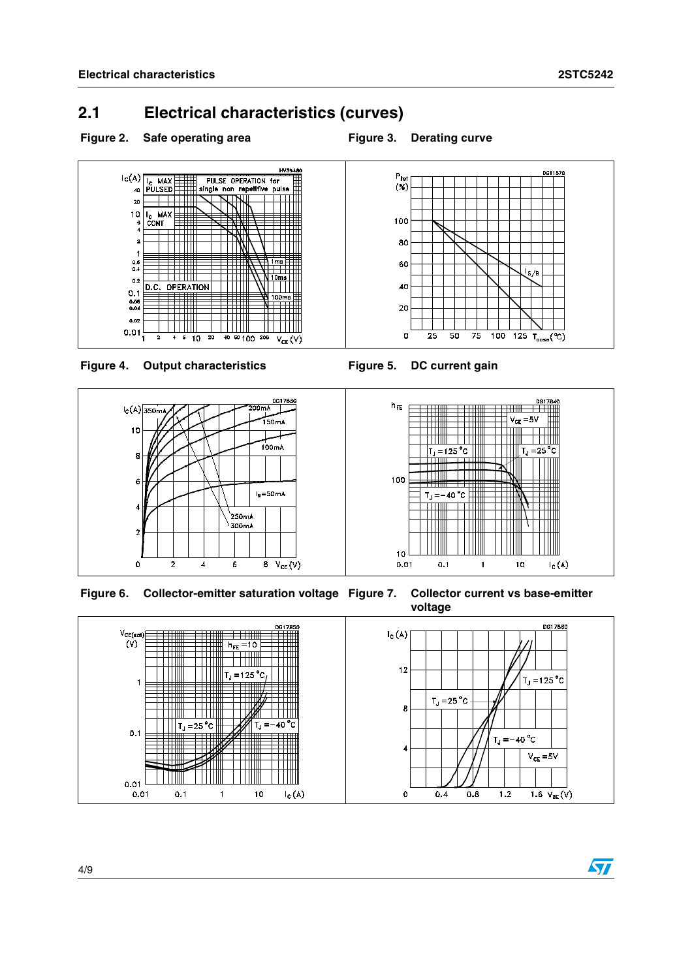DG11570

 $\sqrt{s}/B$ 

 $\frac{100}{100}$  125 T<sub>case</sub>(°C)

### **2.1 Electrical characteristics (curves)**

#### Figure 2. Safe operating area **Figure 3. Derating curve**







 $P_{\text{tot}}$ <br> $(\%)$ 

100 80

60

40

20

 $\mathsf{o}$ 

 $\overline{25}$  $\overline{50}$  $\overline{75}$ 

**Figure 6. Collector-emitter saturation voltage Figure 7. Collector current vs base-emitter** 



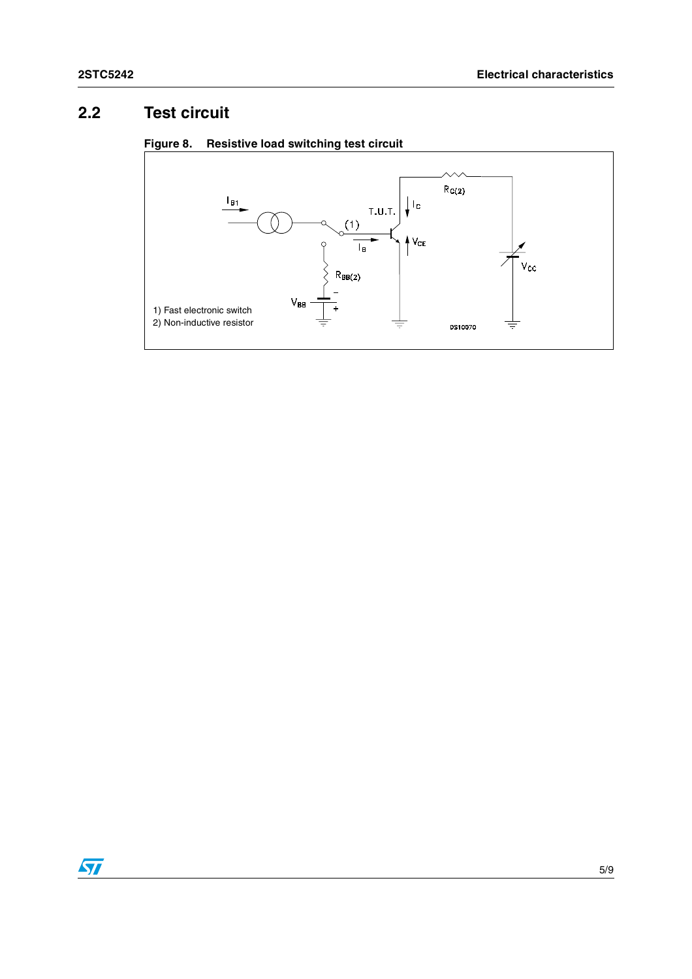## **2.2 Test circuit**



#### **Figure 8. Resistive load switching test circuit**

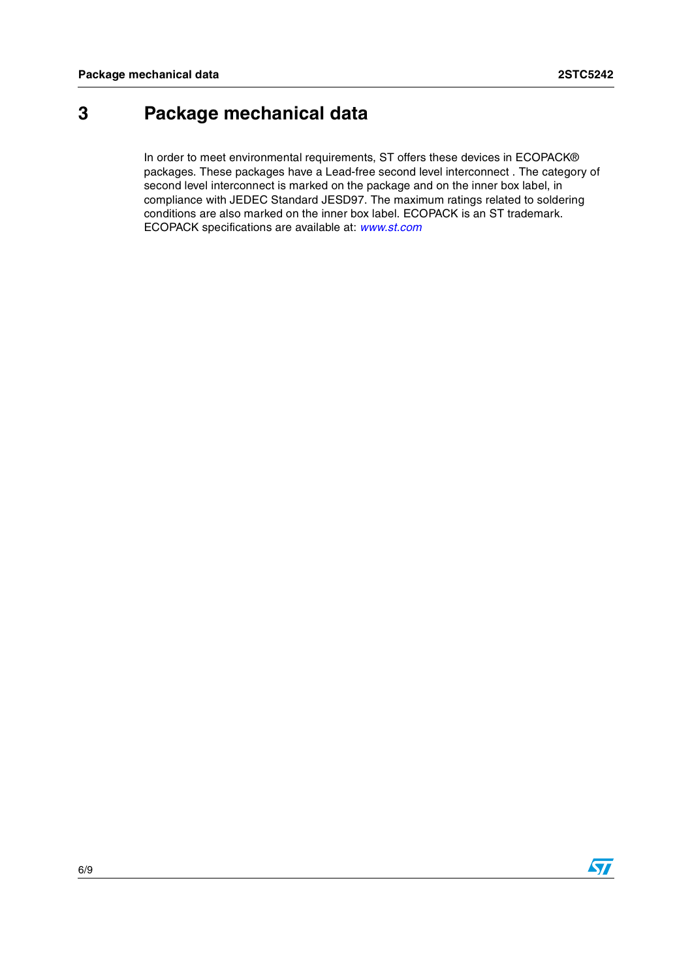## **3 Package mechanical data**

In order to meet environmental requirements, ST offers these devices in ECOPACK® packages. These packages have a Lead-free second level interconnect . The category of second level interconnect is marked on the package and on the inner box label, in compliance with JEDEC Standard JESD97. The maximum ratings related to soldering conditions are also marked on the inner box label. ECOPACK is an ST trademark. ECOPACK specifications are available at: *[w](http://www.st.com)ww.st.com*

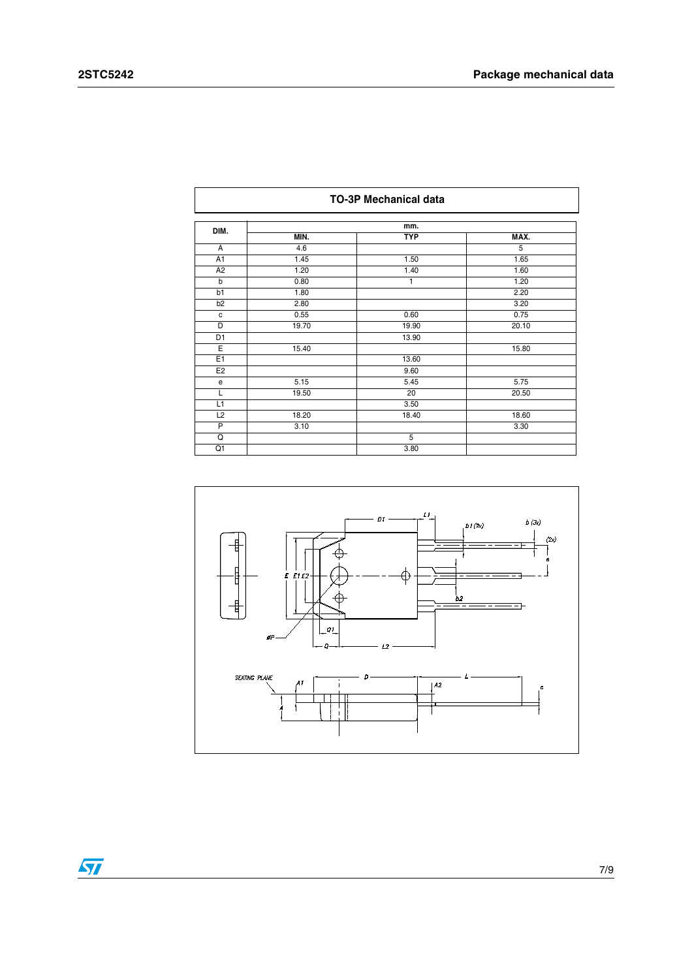| <b>TO-3P Mechanical data</b> |       |                    |       |
|------------------------------|-------|--------------------|-------|
| DIM.                         |       | mm.                |       |
|                              | MIN.  | <b>TYP</b>         | MAX.  |
| A                            | 4.6   |                    | 5     |
| A <sub>1</sub>               | 1.45  | 1.50               | 1.65  |
| A <sub>2</sub>               | 1.20  | 1.40               | 1.60  |
| b                            | 0.80  | 1                  | 1.20  |
| b1                           | 1.80  |                    | 2.20  |
| b <sub>2</sub>               | 2.80  |                    | 3.20  |
| $\mathtt{C}$                 | 0.55  | 0.60               | 0.75  |
| D                            | 19.70 | 19.90              | 20.10 |
| D1                           |       | 13.90              |       |
| E                            | 15.40 |                    | 15.80 |
| E1                           |       | $13.\overline{60}$ |       |
| E <sub>2</sub>               |       | 9.60               |       |
| e                            | 5.15  | 5.45               | 5.75  |
| L                            | 19.50 | 20                 | 20.50 |
| L1                           |       | 3.50               |       |
| L2                           | 18.20 | 18.40              | 18.60 |
| $\overline{P}$               | 3.10  |                    | 3.30  |
| $\overline{Q}$               |       | $\overline{5}$     |       |
| Q1                           |       | 3.80               |       |



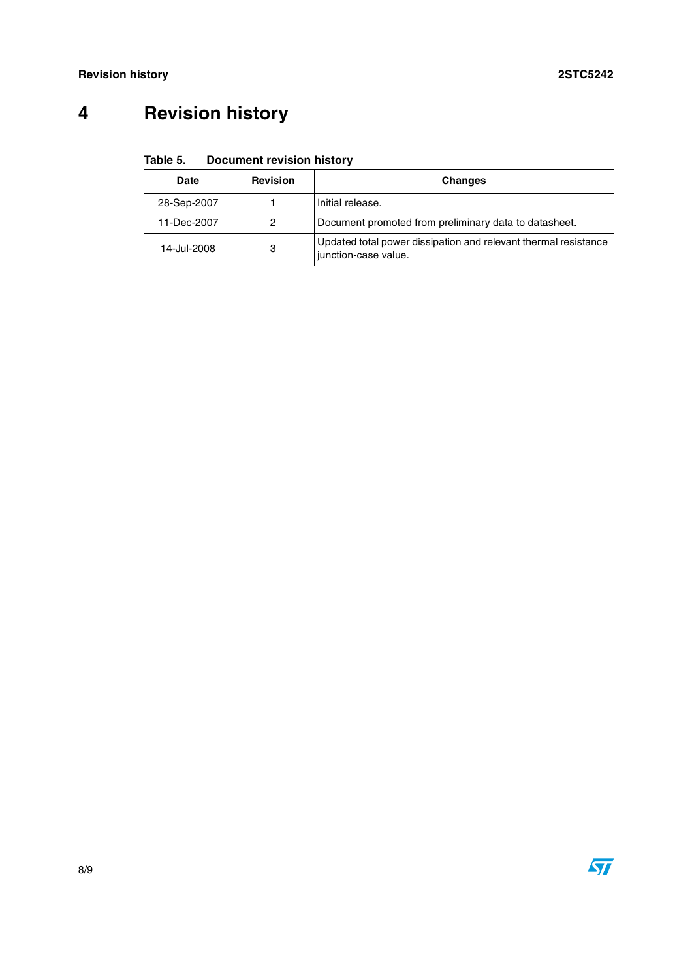## **4 Revision history**

| Table 5. | <b>Document revision history</b> |
|----------|----------------------------------|
|          |                                  |

| <b>Date</b> | <b>Revision</b> | <b>Changes</b>                                                                          |
|-------------|-----------------|-----------------------------------------------------------------------------------------|
| 28-Sep-2007 |                 | Initial release.                                                                        |
| 11-Dec-2007 | 2               | Document promoted from preliminary data to datasheet.                                   |
| 14-Jul-2008 | 3               | Updated total power dissipation and relevant thermal resistance<br>junction-case value. |